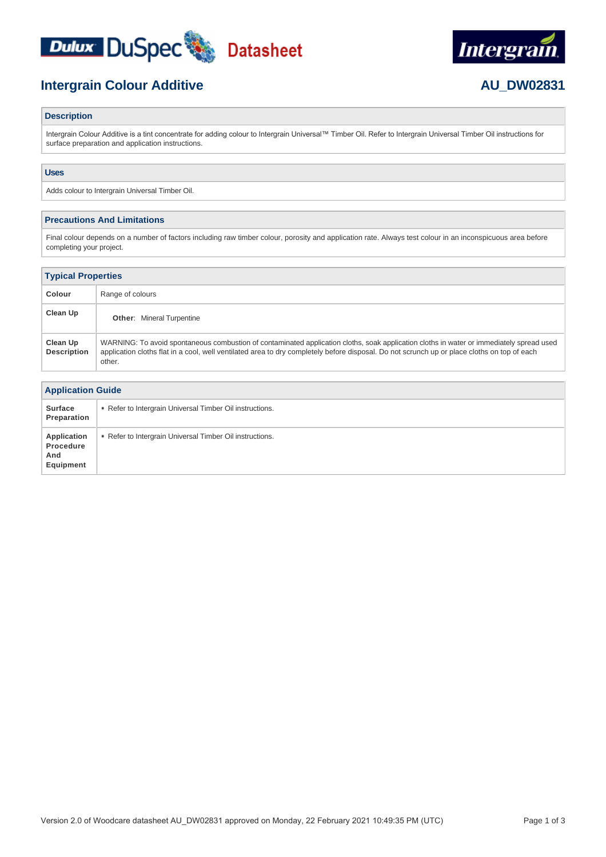





# **Description**

Intergrain Colour Additive is a tint concentrate for adding colour to Intergrain Universal™ Timber Oil. Refer to Intergrain Universal Timber Oil instructions for surface preparation and application instructions.

# **Uses**

Adds colour to Intergrain Universal Timber Oil.

### **Precautions And Limitations**

Final colour depends on a number of factors including raw timber colour, porosity and application rate. Always test colour in an inconspicuous area before completing your project.

| <b>Typical Properties</b>      |                                                                                                                                                                                                                                                                                                   |  |  |  |
|--------------------------------|---------------------------------------------------------------------------------------------------------------------------------------------------------------------------------------------------------------------------------------------------------------------------------------------------|--|--|--|
| Colour                         | Range of colours                                                                                                                                                                                                                                                                                  |  |  |  |
| Clean Up                       | <b>Other:</b> Mineral Turpentine                                                                                                                                                                                                                                                                  |  |  |  |
| Clean Up<br><b>Description</b> | WARNING: To avoid spontaneous combustion of contaminated application cloths, soak application cloths in water or immediately spread used<br>application cloths flat in a cool, well ventilated area to dry completely before disposal. Do not scrunch up or place cloths on top of each<br>other. |  |  |  |

| <b>Application Guide</b>                     |                                                          |  |  |
|----------------------------------------------|----------------------------------------------------------|--|--|
| <b>Surface</b><br>Preparation                | • Refer to Intergrain Universal Timber Oil instructions. |  |  |
| Application<br>Procedure<br>And<br>Equipment | Refer to Intergrain Universal Timber Oil instructions.   |  |  |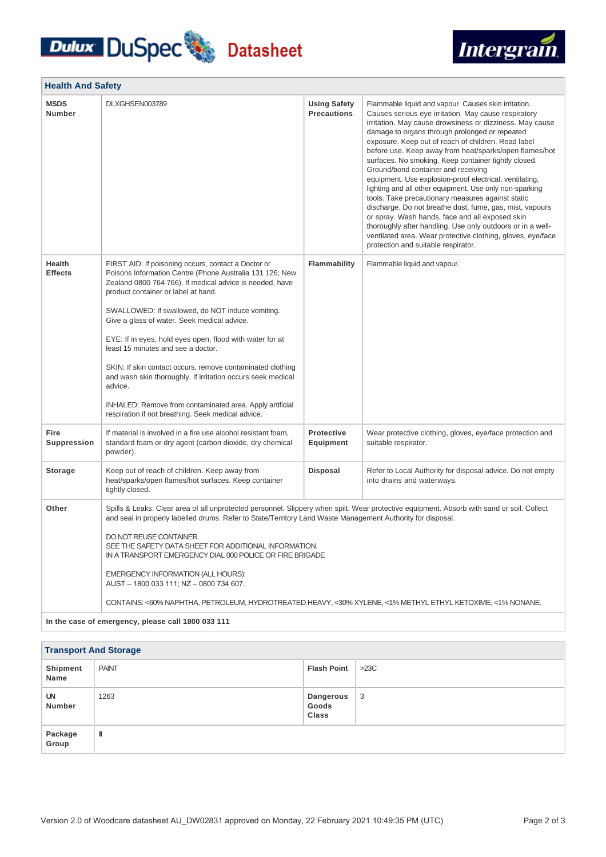# **Dulux DuSpec** Datasheet



| <b>Health And Safety</b>        |                                                                                                                                                                                                                                                                                                                                                                                                                                                                                                                                                                                                                                                                                   |                                           |                                                                                                                                                                                                                                                                                                                                                                                                                                                                                                                                                                                                                                                                                                                                                                                                                                                                                                          |  |  |
|---------------------------------|-----------------------------------------------------------------------------------------------------------------------------------------------------------------------------------------------------------------------------------------------------------------------------------------------------------------------------------------------------------------------------------------------------------------------------------------------------------------------------------------------------------------------------------------------------------------------------------------------------------------------------------------------------------------------------------|-------------------------------------------|----------------------------------------------------------------------------------------------------------------------------------------------------------------------------------------------------------------------------------------------------------------------------------------------------------------------------------------------------------------------------------------------------------------------------------------------------------------------------------------------------------------------------------------------------------------------------------------------------------------------------------------------------------------------------------------------------------------------------------------------------------------------------------------------------------------------------------------------------------------------------------------------------------|--|--|
| <b>MSDS</b><br><b>Number</b>    | DLXGHSEN003789                                                                                                                                                                                                                                                                                                                                                                                                                                                                                                                                                                                                                                                                    | <b>Using Safety</b><br><b>Precautions</b> | Flammable liquid and vapour. Causes skin irritation.<br>Causes serious eye irritation. May cause respiratory<br>irritation. May cause drowsiness or dizziness. May cause<br>damage to organs through prolonged or repeated<br>exposure. Keep out of reach of children. Read label<br>before use. Keep away from heat/sparks/open flames/hot<br>surfaces. No smoking. Keep container tightly closed.<br>Ground/bond container and receiving<br>equipment. Use explosion-proof electrical, ventilating,<br>lighting and all other equipment. Use only non-sparking<br>tools. Take precautionary measures against static<br>discharge. Do not breathe dust, fume, gas, mist, vapours<br>or spray. Wash hands, face and all exposed skin<br>thoroughly after handling. Use only outdoors or in a well-<br>ventilated area. Wear protective clothing, gloves, eye/face<br>protection and suitable respirator. |  |  |
| <b>Health</b><br><b>Effects</b> | FIRST AID: If poisoning occurs, contact a Doctor or<br>Poisons Information Centre (Phone Australia 131 126; New<br>Zealand 0800 764 766). If medical advice is needed, have<br>product container or label at hand.<br>SWALLOWED: If swallowed, do NOT induce vomiting.<br>Give a glass of water. Seek medical advice.<br>EYE: If in eyes, hold eyes open, flood with water for at<br>least 15 minutes and see a doctor.<br>SKIN: If skin contact occurs, remove contaminated clothing<br>and wash skin thoroughly. If irritation occurs seek medical<br>advice.<br>INHALED: Remove from contaminated area. Apply artificial<br>respiration if not breathing. Seek medical advice. | Flammability                              | Flammable liquid and vapour.                                                                                                                                                                                                                                                                                                                                                                                                                                                                                                                                                                                                                                                                                                                                                                                                                                                                             |  |  |
| Fire<br><b>Suppression</b>      | If material is involved in a fire use alcohol resistant foam,<br>standard foam or dry agent (carbon dioxide, dry chemical<br>powder).                                                                                                                                                                                                                                                                                                                                                                                                                                                                                                                                             | <b>Protective</b><br>Equipment            | Wear protective clothing, gloves, eye/face protection and<br>suitable respirator.                                                                                                                                                                                                                                                                                                                                                                                                                                                                                                                                                                                                                                                                                                                                                                                                                        |  |  |
| <b>Storage</b>                  | Keep out of reach of children. Keep away from<br>heat/sparks/open flames/hot surfaces. Keep container<br>tightly closed.                                                                                                                                                                                                                                                                                                                                                                                                                                                                                                                                                          | <b>Disposal</b>                           | Refer to Local Authority for disposal advice. Do not empty<br>into drains and waterways.                                                                                                                                                                                                                                                                                                                                                                                                                                                                                                                                                                                                                                                                                                                                                                                                                 |  |  |
| Other                           | Spills & Leaks: Clear area of all unprotected personnel. Slippery when spilt. Wear protective equipment. Absorb with sand or soil. Collect<br>and seal in properly labelled drums. Refer to State/Territory Land Waste Management Authority for disposal.<br>DO NOT REUSE CONTAINER.<br>SEE THE SAFETY DATA SHEET FOR ADDITIONAL INFORMATION.<br>IN A TRANSPORT EMERGENCY DIAL 000 POLICE OR FIRE BRIGADE<br>EMERGENCY INFORMATION (ALL HOURS):<br>AUST-1800 033 111; NZ-0800 734 607.<br>CONTAINS: <60% NAPHTHA, PETROLEUM, HYDROTREATED HEAVY, <30% XYLENE, <1% METHYL ETHYL KETOXIME, <1% NONANE.<br>In the case of emergency, please call 1800 033 111                        |                                           |                                                                                                                                                                                                                                                                                                                                                                                                                                                                                                                                                                                                                                                                                                                                                                                                                                                                                                          |  |  |

**Transport And Storage Shipment Name** PAINT PAINT PAINT **UN Number** 1263 **Dangerous Goods Class** 3 **Package Group** III